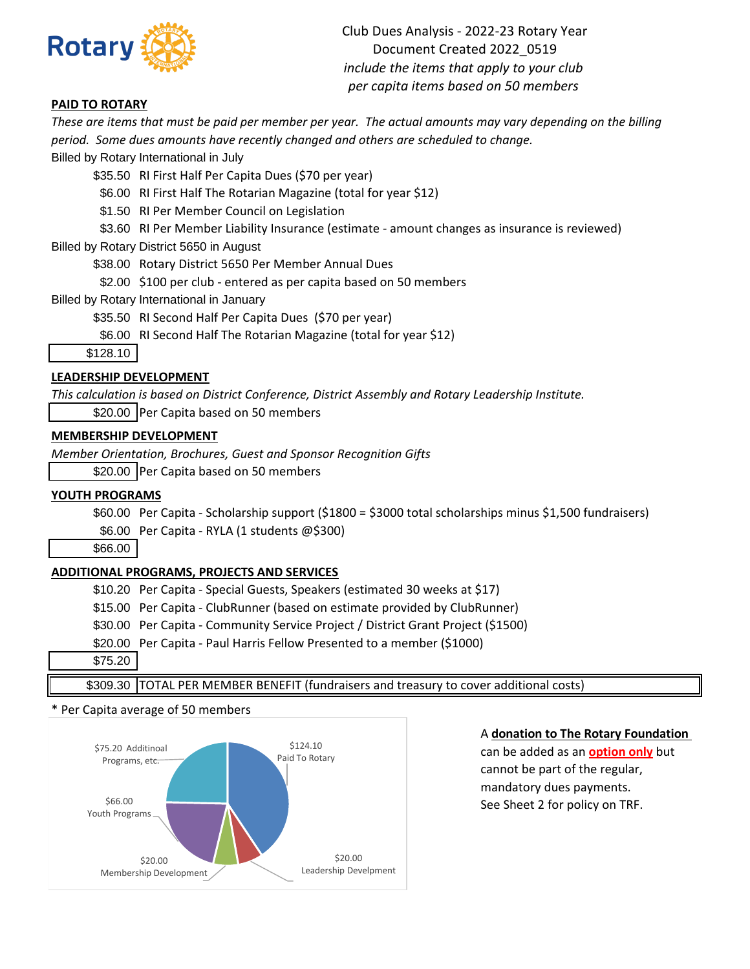

Club Dues Analysis - 2022-23 Rotary Year Document Created 2022\_0519 *include the items that apply to your club per capita items based on 50 members*

## **PAID TO ROTARY**

*These are items that must be paid per member per year. The actual amounts may vary depending on the billing period. Some dues amounts have recently changed and others are scheduled to change.*

Billed by Rotary International in July

\$35.50 RI First Half Per Capita Dues (\$70 per year)

\$6.00 RI First Half The Rotarian Magazine (total for year \$12)

\$1.50 RI Per Member Council on Legislation

\$3.60 RI Per Member Liability Insurance (estimate - amount changes as insurance is reviewed)

Billed by Rotary District 5650 in August

\$38.00 Rotary District 5650 Per Member Annual Dues

\$2.00 \$100 per club - entered as per capita based on 50 members

Billed by Rotary International in January

\$35.50 RI Second Half Per Capita Dues (\$70 per year)

\$6.00 RI Second Half The Rotarian Magazine (total for year \$12)

\$128.10

## **LEADERSHIP DEVELOPMENT**

*This calculation is based on District Conference, District Assembly and Rotary Leadership Institute.*

\$20.00 Per Capita based on 50 members

### **MEMBERSHIP DEVELOPMENT**

*Member Orientation, Brochures, Guest and Sponsor Recognition Gifts*

\$20.00 Per Capita based on 50 members

#### **YOUTH PROGRAMS**

\$60.00 Per Capita - Scholarship support (\$1800 = \$3000 total scholarships minus \$1,500 fundraisers) \$6.00 Per Capita - RYLA (1 students @\$300)

\$66.00

## **ADDITIONAL PROGRAMS, PROJECTS AND SERVICES**

\$10.20 Per Capita - Special Guests, Speakers (estimated 30 weeks at \$17)

\$15.00 Per Capita - ClubRunner (based on estimate provided by ClubRunner)

\$30.00 Per Capita - Community Service Project / District Grant Project (\$1500)

\$20.00 Per Capita - Paul Harris Fellow Presented to a member (\$1000)

\$75.20

\$309.30 TOTAL PER MEMBER BENEFIT (fundraisers and treasury to cover additional costs)

#### \* Per Capita average of 50 members



# A **donation to The Rotary Foundation**

See Sheet 2 for policy on TRF. can be added as an **option only** but cannot be part of the regular, mandatory dues payments.